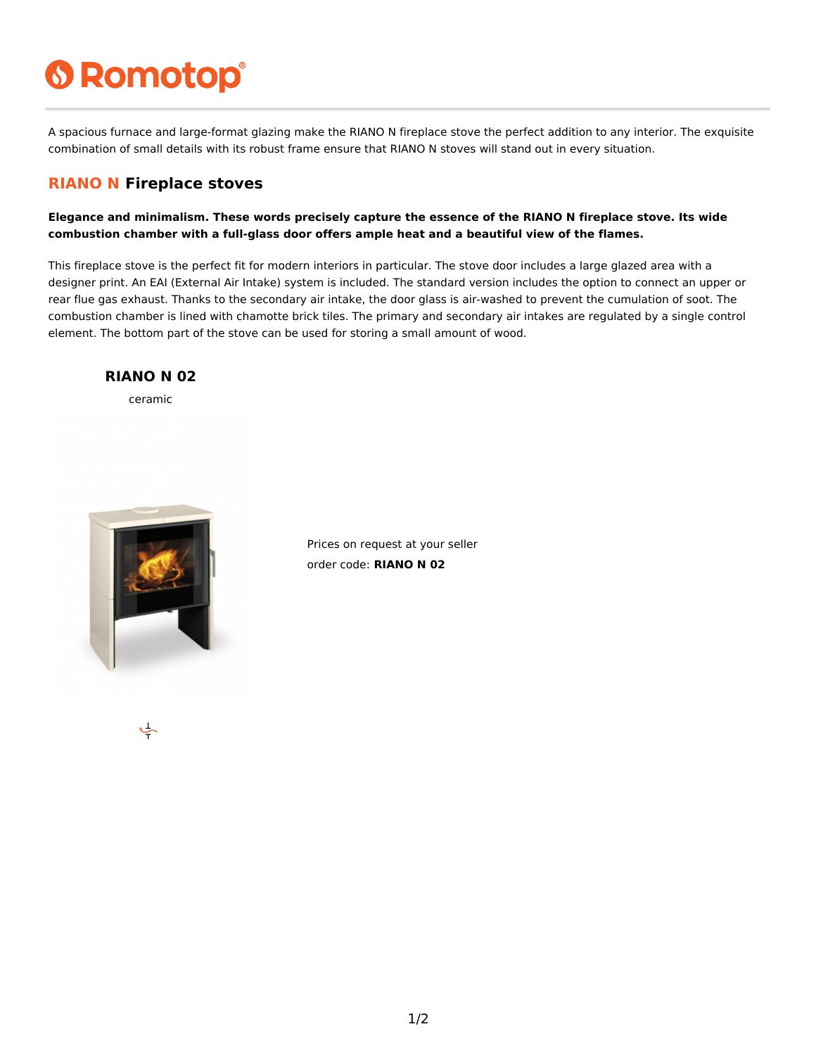# **6 Romotop®**

A spacious furnace and large-format glazing make the RIANO N fireplace stove the perfect addition to any interior. The exquisite combination of small details with its robust frame ensure that RIANO N stoves will stand out in every situation.

### **RIANO N Fireplace stoves**

**Elegance and minimalism. These words precisely capture the essence of the RIANO N fireplace stove. Its wide combustion chamber with a full-glass door offers ample heat and a beautiful view of the flames.**

This fireplace stove is the perfect fit for modern interiors in particular. The stove door includes a large glazed area with a designer print. An EAI (External Air Intake) system is included. The standard version includes the option to connect an upper or rear flue gas exhaust. Thanks to the secondary air intake, the door glass is air-washed to prevent the cumulation of soot. The combustion chamber is lined with chamotte brick tiles. The primary and secondary air intakes are regulated by a single control element. The bottom part of the stove can be used for storing a small amount of wood.

#### **RIANO N 02**

ceramic



Prices on request at your seller order code: **RIANO N 02**